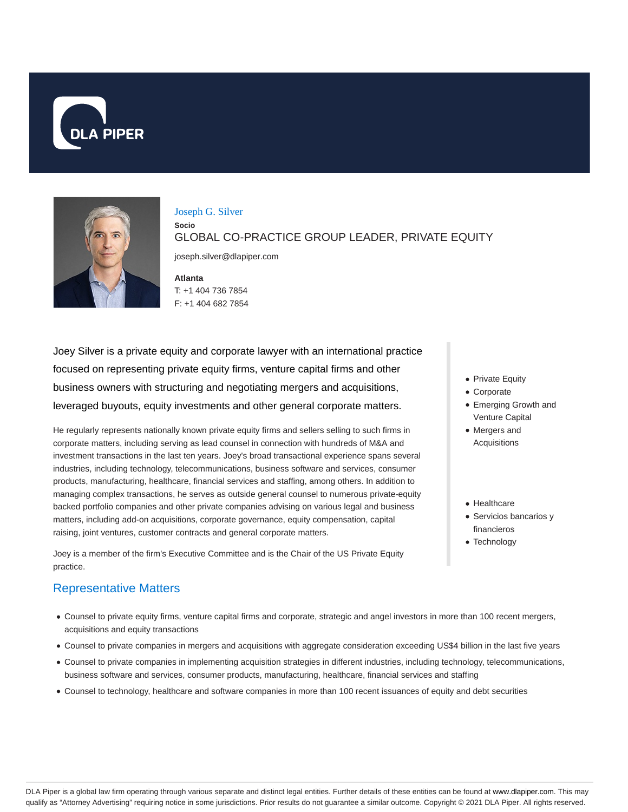



#### Joseph G. Silver

**Socio** GLOBAL CO-PRACTICE GROUP LEADER, PRIVATE EQUITY

joseph.silver@dlapiper.com

**Atlanta** T: +1 404 736 7854 F: +1 404 682 7854

Joey Silver is a private equity and corporate lawyer with an international practice focused on representing private equity firms, venture capital firms and other business owners with structuring and negotiating mergers and acquisitions, leveraged buyouts, equity investments and other general corporate matters.

He regularly represents nationally known private equity firms and sellers selling to such firms in corporate matters, including serving as lead counsel in connection with hundreds of M&A and investment transactions in the last ten years. Joey's broad transactional experience spans several industries, including technology, telecommunications, business software and services, consumer products, manufacturing, healthcare, financial services and staffing, among others. In addition to managing complex transactions, he serves as outside general counsel to numerous private-equity backed portfolio companies and other private companies advising on various legal and business matters, including add-on acquisitions, corporate governance, equity compensation, capital raising, joint ventures, customer contracts and general corporate matters.

Joey is a member of the firm's Executive Committee and is the Chair of the US Private Equity practice.

# Representative Matters

- Counsel to private equity firms, venture capital firms and corporate, strategic and angel investors in more than 100 recent mergers, acquisitions and equity transactions
- Counsel to private companies in mergers and acquisitions with aggregate consideration exceeding US\$4 billion in the last five years
- Counsel to private companies in implementing acquisition strategies in different industries, including technology, telecommunications, business software and services, consumer products, manufacturing, healthcare, financial services and staffing
- Counsel to technology, healthcare and software companies in more than 100 recent issuances of equity and debt securities
- Private Equity
- Corporate
- Emerging Growth and Venture Capital
- Mergers and Acquisitions
- Healthcare
- Servicios bancarios y financieros
- Technology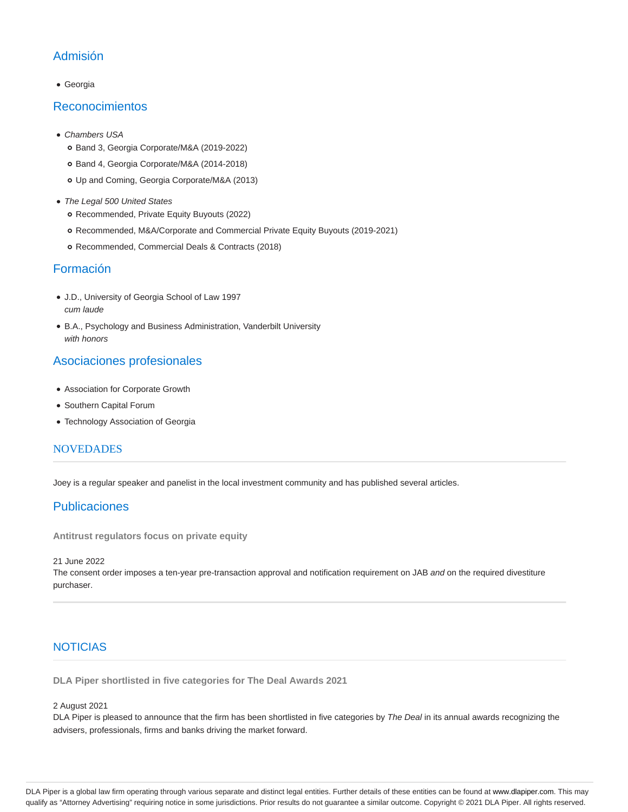# Admisión

Georgia

#### Reconocimientos

- Chambers USA
	- Band 3, Georgia Corporate/M&A (2019-2022)
	- o Band 4, Georgia Corporate/M&A (2014-2018)
	- Up and Coming, Georgia Corporate/M&A (2013)
- The Legal 500 United States o Recommended, Private Equity Buyouts (2022)
	- Recommended, M&A/Corporate and Commercial Private Equity Buyouts (2019-2021)
	- Recommended, Commercial Deals & Contracts (2018)

#### Formación

- J.D., University of Georgia School of Law 1997 cum laude
- B.A., Psychology and Business Administration, Vanderbilt University with honors

## Asociaciones profesionales

- Association for Corporate Growth
- Southern Capital Forum
- Technology Association of Georgia

#### **NOVEDADES**

Joey is a regular speaker and panelist in the local investment community and has published several articles.

## Publicaciones

**Antitrust regulators focus on private equity**

21 June 2022

The consent order imposes a ten-year pre-transaction approval and notification requirement on JAB and on the required divestiture purchaser.

## NOTICIAS

**DLA Piper shortlisted in five categories for The Deal Awards 2021**

#### 2 August 2021

DLA Piper is pleased to announce that the firm has been shortlisted in five categories by The Deal in its annual awards recognizing the advisers, professionals, firms and banks driving the market forward.

DLA Piper is a global law firm operating through various separate and distinct legal entities. Further details of these entities can be found at www.dlapiper.com. This may qualify as "Attorney Advertising" requiring notice in some jurisdictions. Prior results do not guarantee a similar outcome. Copyright © 2021 DLA Piper. All rights reserved.